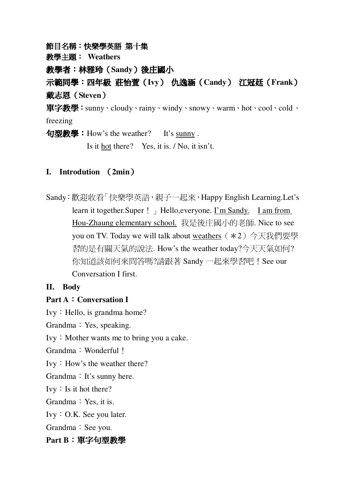節目名稱:快樂學英語 第十集

**教學主題: Weathers** 

教學者:林雅玲(Sandy)後庄國小

示範同學:四年級 莊怡萱(Ivy) 仇逸涵(Candy) 江冠廷(Frank) **戴志恩**(Steven)

單字教學:sunny、cloudy、rainy、windy、snowy、warm、hot、cool、cold、 freezing

句型教學:How's the weather? It's sunny. Is it hot there? Yes, it is. / No, it isn't.

# **I. Introdution 2min**

Sandy:歡迎收看「快樂學英語,親子一起來,Happy English Learning.Let's learn it together. Super  $\frac{1}{1}$  Hello, everyone. I'm Sandy. I am from Hou-Zhaung elementary school. 我是後庄國小的老師. Nice to see you on TV. Today we will talk about <u>weathers</u>(\*2)今天我們要學 習的是有關天氣的說法. How's the weather today?今天天氣如何? 你知道該如何來問答嗎?請跟著 Sandy 一起來學習吧!See our Conversation I first.

### **II. Body**

# **Part A** : Conversation **I**

Ivy: Hello, is grandma home?

Grandma: Yes, speaking.

Ivy: Mother wants me to bring you a cake.

Grandma: Wonderful !

Ivy: How's the weather there?

Grandma: It's sunny here.

Ivy: Is it hot there?

Grandma: Yes, it is.

Ivy-O.K. See you later.

Grandma: See you.

# **Part B: 單字句型教學**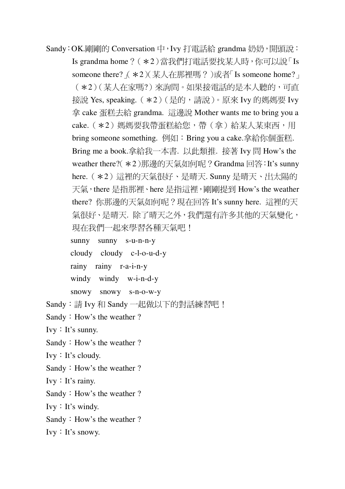Sandy:OK.剛剛的 Conversation 中,Ivy 打電話給 grandma 奶奶,開頭說: Is grandma home? (\*2)當我們打雷話要找某人時,你可以說「Is someone there?  $( *2)( \nexists \lambda A \# \mathbb{H} \# \mathbb{I} \# ? )$ 或者「Is someone home? (\*2)(某人在家嗎?)來詢問。如果接電話的是本人聽的,可直 接說 Yes, speaking.  $(*2)$  (是的,請說)。原來 Ivy 的媽媽要 Ivy 拿 cake 蛋糕去給 grandma. 這邊說 Mother wants me to bring you a cake. (\*2) 媽媽要我帶蛋糕給您,帶(拿)給某人某東西,用 bring someone something. 例如:Bring you a cake.拿給你個蛋糕. Bring me a book.拿給我一本書. 以此類推. 接著 Ivy 問 How's the weather there?( \*2)那邊的天氣如何呢?Grandma 回答:It's sunny here. (\*2)這裡的天氣很好、是晴天. Sunny 是晴天、出太陽的. 天氣, there 是指那裡、here 是指這裡, 剛剛提到 How's the weather there? 你那邊的天氣如何呢?現在回答 It's sunny here. 這裡的天 氣很好、是晴天. 除了晴天之外, 我們還有許多其他的天氣變化, 現在我們一起來學習各種天氣吧!

sunny sunny s-u-n-n-y

cloudy cloudy c-l-o-u-d-y

rainy rainy r-a-i-n-y

windy windy w-i-n-d-y

snowy snowy s-n-o-w-y

Sandy:請 Ivy 和 Sandy 一起做以下的對話練習吧!

Sandy: How's the weather?

Ivy: It's sunny.

Sandy: How's the weather?

Ivy: It's cloudy.

Sandy: How's the weather?

Ivy: It's rainy.

Sandy: How's the weather?

Ivy: It's windy.

Sandy: How's the weather?

Ivy: It's snowy.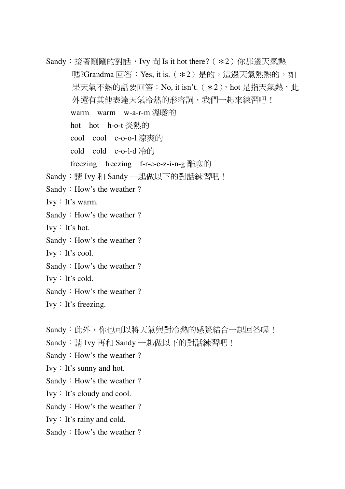Sandy:接著剛剛的對話,Ivy 問 Is it hot there?(\*2)你那邊天氣熱 嗎?Grandma 回答:Yes, it is.(\*2)是的,這邊天氣熱熱的,如 果天氣不熱的話要回答:No, it isn't. (  $\ast$ 2 ),hot 是指天氣熱,此 外澴有其他表達天氣冷熱的形容詞,我們一起來練習吧! warm warm w-a-r-m 溫暖的 hot hot h-o-t 炎熱的 cool cool c-o-o-l 涼爽的 cold cold c-o-l-d 冷的 freezing freezing f-r-e-e-z-i-n-g 酷寒的 Sandy:請 Ivy 和 Sandy 一起做以下的對話練習吧! Sandy: How's the weather? Ivy: It's warm. Sandy: How's the weather? Ivy: It's hot. Sandy: How's the weather? Ivy: It's cool. Sandy: How's the weather? Ivy: It's cold. Sandy: How's the weather? Ivy: It's freezing.

Sandy:此外,你也可以將天氣與對冷熱的感覺結合一起回答喔!

Sandy:請 Ivy 再和 Sandy 一起做以下的對話練習吧!

Sandy: How's the weather?

Ivy: It's sunny and hot.

Sandy: How's the weather?

Ivy: It's cloudy and cool.

Sandy: How's the weather?

Ivy: It's rainy and cold.

Sandy: How's the weather?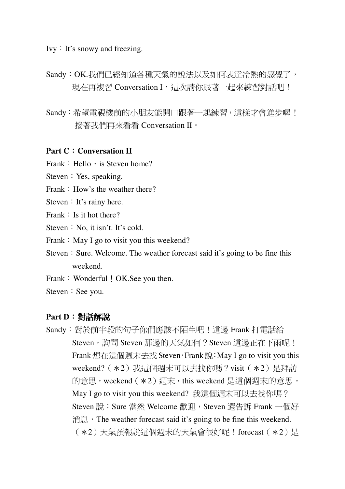$Ivy: It's snowy and freezing.$ 

- Sandy:OK.我們已經知道各種天氣的說法以及如何表達冷熱的感覺了, 現在再複習 Conversation I, 這次請你跟著一起來練習對話吧!
- Sandy:希望電視機前的小朋友能開口跟著一起練習,這樣才會進步喔! 接著我們再來看看 Conversation II。

#### **Part C: Conversation II**

- Frank: Hello, is Steven home?
- Steven: Yes, speaking.
- Frank: How's the weather there?

Steven : It's rainy here.

- Frank  $\colon$  Is it hot there?
- Steven: No. it isn't. It's cold.
- Frank  $:$  May I go to visit you this weekend?
- Steven: Sure. Welcome. The weather forecast said it's going to be fine this weekend.
- Frank: Wonderful ! OK. See you then.
- Steven : See you.

#### Part D: 對話解說

Sandy:對於前半段的句子你們應該不陌生吧!這邊 Frank 打電話給 Steven, 詢問 Steven 那邊的天氣如何? Steven 這邊正在下雨呢! Frank 想在這個週末去找 Steven, Frank 說: May I go to visit you this weekend? (\*2) 我這個週末可以去找你嗎?visit (\*2) 是拜訪 的意思,weekend (\*2) 週末,this weekend 是這個週末的意思, May I go to visit you this weekend? 我這個週末可以去找你嗎? Steven 說:Sure 當然 Welcome 歡迎,Steven 還告訴 Frank 一個好 消息, The weather forecast said it's going to be fine this weekend. (\*2)天氣預報說這個週末的天氣會很好呢!forecast (\*2)是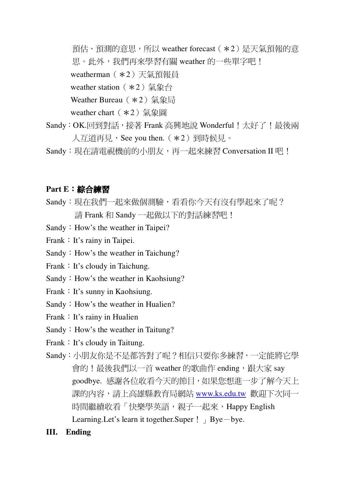預估、預測的意思,所以 weather forecast (\*2)是天氣預報的意 思。此外,我們再來學習有關 weather 的一些單字吧! weatherman (\*2) 天氣預報員 weather station  $(*2)$  氣象台 Weather Bureau  $(*2)$  氣象局 weather chart  $(*2)$  氣象圖

- Sandy:OK.回到對話,接著 Frank 高興地說 Wonderful!太好了!最後兩 人互道再見, See you then. (\*2)到時候見。
- Sandy:現在請電視機前的小朋友,再一起來練習 Conversation II 吧!

### Part E:綜合練習

- Sandy:現在我們一起來做個測驗,看看你今天有沒有學起來了呢? 請 Frank 和 Sandy 一起做以下的對話練習吧!
- Sandy: How's the weather in Taipei?

Frank : It's rainy in Taipei.

- Sandy: How's the weather in Taichung?
- Frank: It's cloudy in Taichung.
- Sandy: How's the weather in Kaohsiung?
- Frank: It's sunny in Kaohsiung.
- Sandy: How's the weather in Hualien?
- Frank: It's rainy in Hualien
- Sandy: How's the weather in Taitung?
- Frank: It's cloudy in Taitung.
- Sandy:小朋友你是不是都答對了呢?相信只要你多練習,一定能將它學 會的!最後我們以一首 weather 的歌曲作 ending, 跟大家 say goodbye. 感謝各位收看今天的節目,如果您想進一步了解今天上 課的內容,請上高雄縣教育局網站 www.ks.edu.tw 歡迎下次同一 時間繼續收看「快樂學英語,親子一起來,Happy English Learning. Let's learn it together. Super  $! \rightarrow Bye - bye$ .
- **III.** Ending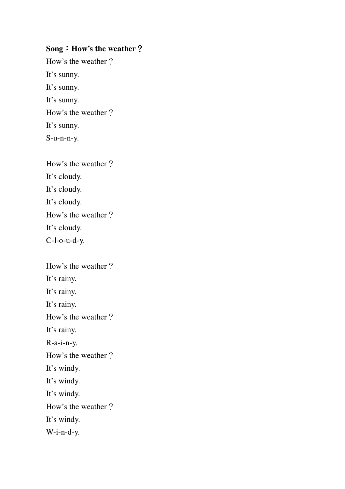### **Song** : How's the weather?

How's the weather  $\frac{9}{5}$ It's sunny. It's sunny. It's sunny. How's the weather  $?$ It's sunny. S-u-n-n-y.

How's the weather  $\frac{2}{3}$ It's cloudy. It's cloudy. It's cloudy. How's the weather  $?$ It's cloudy. C-l-o-u-d-y.

How's the weather?

It's rainy.

It's rainy.

It's rainy.

How's the weather  $?$ 

It's rainy.

R-a-i-n-y.

How's the weather  $?$ 

It's windy.

It's windy.

It's windy.

How's the weather  $?$ 

It's windy.

W-i-n-d-y.